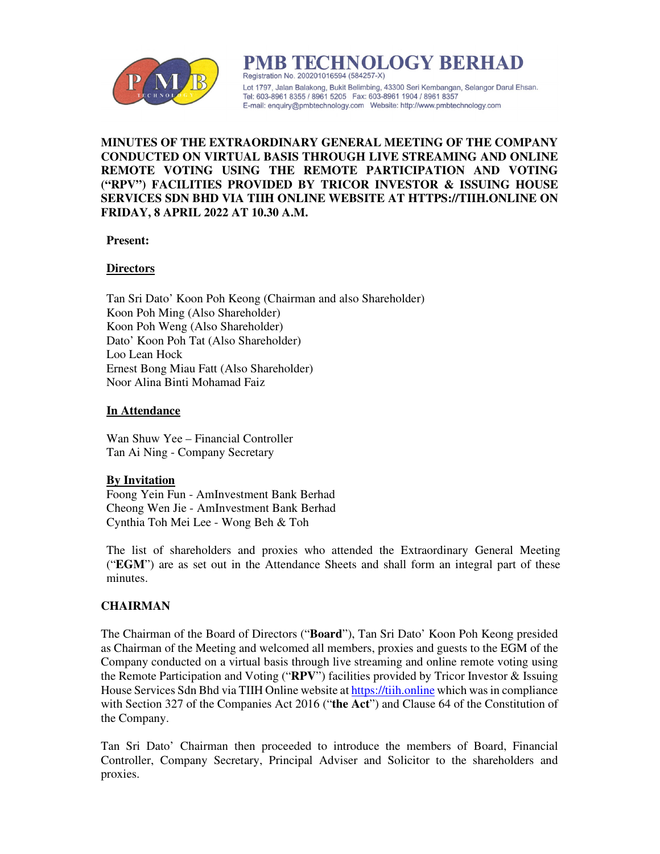

PMB TECHNOLOGY BERHAD Registration No. 200201016594 (584257-X) Lot 1797, Jalan Balakong, Bukit Belimbing, 43300 Seri Kembangan, Selangor Darul Ehsan. Tel: 603-8961 8355 / 8961 5205 Fax: 603-8961 1904 / 8961 8357 

# **MINUTES OF THE EXTRAORDINARY GENERAL MEETING OF THE COMPANY CONDUCTED ON VIRTUAL BASIS THROUGH LIVE STREAMING AND ONLINE REMOTE VOTING USING THE REMOTE PARTICIPATION AND VOTING ("RPV") FACILITIES PROVIDED BY TRICOR INVESTOR & ISSUING HOUSE SERVICES SDN BHD VIA TIIH ONLINE WEBSITE AT HTTPS://TIIH.ONLINE ON FRIDAY, 8 APRIL 2022 AT 10.30 A.M.**

# **Present:**

# **Directors**

Tan Sri Dato' Koon Poh Keong (Chairman and also Shareholder) Koon Poh Ming (Also Shareholder) Koon Poh Weng (Also Shareholder) Dato' Koon Poh Tat (Also Shareholder) Loo Lean Hock Ernest Bong Miau Fatt (Also Shareholder) Noor Alina Binti Mohamad Faiz

# **In Attendance**

Wan Shuw Yee – Financial Controller Tan Ai Ning - Company Secretary

# **By Invitation**

Foong Yein Fun - AmInvestment Bank Berhad Cheong Wen Jie - AmInvestment Bank Berhad Cynthia Toh Mei Lee - Wong Beh & Toh

The list of shareholders and proxies who attended the Extraordinary General Meeting ("**EGM**") are as set out in the Attendance Sheets and shall form an integral part of these minutes.

# **CHAIRMAN**

The Chairman of the Board of Directors ("**Board**"), Tan Sri Dato' Koon Poh Keong presided as Chairman of the Meeting and welcomed all members, proxies and guests to the EGM of the Company conducted on a virtual basis through live streaming and online remote voting using the Remote Participation and Voting ("**RPV**") facilities provided by Tricor Investor & Issuing House Services Sdn Bhd via TIIH Online website at https://tiih.online which was in compliance with Section 327 of the Companies Act 2016 ("**the Act**") and Clause 64 of the Constitution of the Company.

Tan Sri Dato' Chairman then proceeded to introduce the members of Board, Financial Controller, Company Secretary, Principal Adviser and Solicitor to the shareholders and proxies.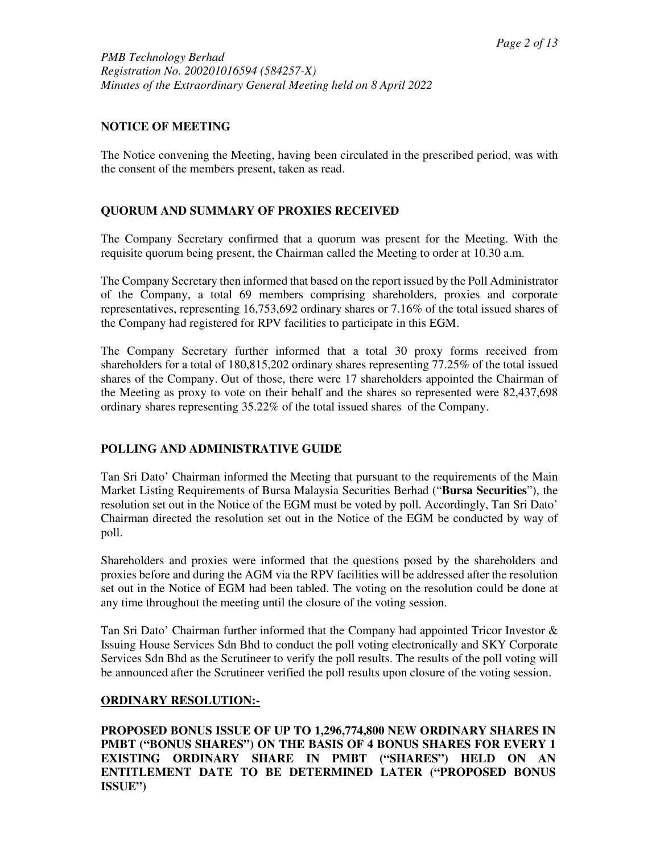# **NOTICE OF MEETING**

The Notice convening the Meeting, having been circulated in the prescribed period, was with the consent of the members present, taken as read.

# **QUORUM AND SUMMARY OF PROXIES RECEIVED**

The Company Secretary confirmed that a quorum was present for the Meeting. With the requisite quorum being present, the Chairman called the Meeting to order at 10.30 a.m.

The Company Secretary then informed that based on the report issued by the Poll Administrator of the Company, a total 69 members comprising shareholders, proxies and corporate representatives, representing 16,753,692 ordinary shares or 7.16% of the total issued shares of the Company had registered for RPV facilities to participate in this EGM.

The Company Secretary further informed that a total 30 proxy forms received from shareholders for a total of 180,815,202 ordinary shares representing 77.25% of the total issued shares of the Company. Out of those, there were 17 shareholders appointed the Chairman of the Meeting as proxy to vote on their behalf and the shares so represented were 82,437,698 ordinary shares representing 35.22% of the total issued shares of the Company.

# **POLLING AND ADMINISTRATIVE GUIDE**

Tan Sri Dato' Chairman informed the Meeting that pursuant to the requirements of the Main Market Listing Requirements of Bursa Malaysia Securities Berhad ("**Bursa Securities**"), the resolution set out in the Notice of the EGM must be voted by poll. Accordingly, Tan Sri Dato' Chairman directed the resolution set out in the Notice of the EGM be conducted by way of poll.

Shareholders and proxies were informed that the questions posed by the shareholders and proxies before and during the AGM via the RPV facilities will be addressed after the resolution set out in the Notice of EGM had been tabled. The voting on the resolution could be done at any time throughout the meeting until the closure of the voting session.

Tan Sri Dato' Chairman further informed that the Company had appointed Tricor Investor  $\&$ Issuing House Services Sdn Bhd to conduct the poll voting electronically and SKY Corporate Services Sdn Bhd as the Scrutineer to verify the poll results. The results of the poll voting will be announced after the Scrutineer verified the poll results upon closure of the voting session.

# **ORDINARY RESOLUTION:-**

**PROPOSED BONUS ISSUE OF UP TO 1,296,774,800 NEW ORDINARY SHARES IN PMBT ("BONUS SHARES") ON THE BASIS OF 4 BONUS SHARES FOR EVERY 1 EXISTING ORDINARY SHARE IN PMBT ("SHARES") HELD ON AN ENTITLEMENT DATE TO BE DETERMINED LATER ("PROPOSED BONUS ISSUE")**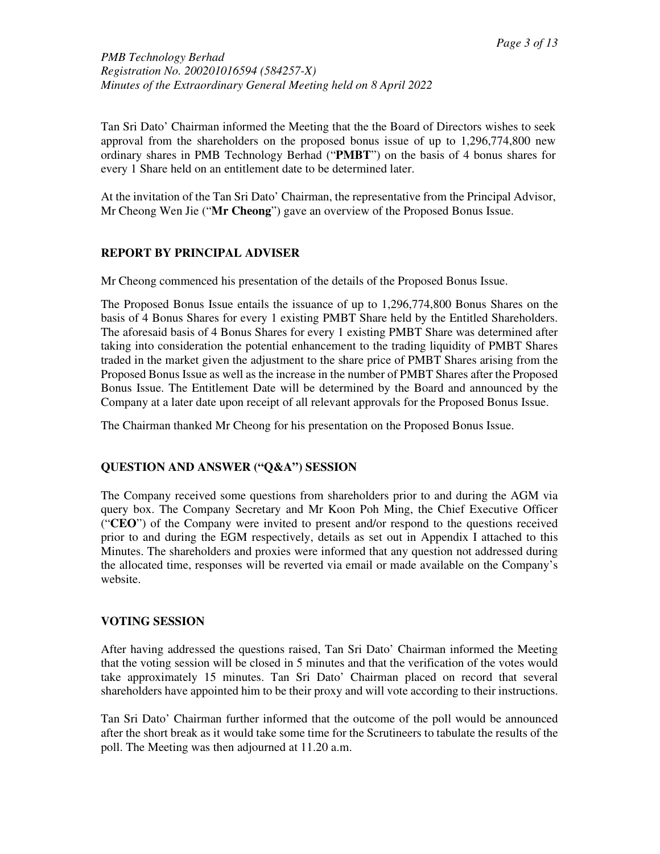*PMB Technology Berhad Registration No. 200201016594 (584257-X) Minutes of the Extraordinary General Meeting held on 8 April 2022* 

Tan Sri Dato' Chairman informed the Meeting that the the Board of Directors wishes to seek approval from the shareholders on the proposed bonus issue of up to 1,296,774,800 new ordinary shares in PMB Technology Berhad ("**PMBT**") on the basis of 4 bonus shares for every 1 Share held on an entitlement date to be determined later.

At the invitation of the Tan Sri Dato' Chairman, the representative from the Principal Advisor, Mr Cheong Wen Jie ("**Mr Cheong**") gave an overview of the Proposed Bonus Issue.

# **REPORT BY PRINCIPAL ADVISER**

Mr Cheong commenced his presentation of the details of the Proposed Bonus Issue.

The Proposed Bonus Issue entails the issuance of up to 1,296,774,800 Bonus Shares on the basis of 4 Bonus Shares for every 1 existing PMBT Share held by the Entitled Shareholders. The aforesaid basis of 4 Bonus Shares for every 1 existing PMBT Share was determined after taking into consideration the potential enhancement to the trading liquidity of PMBT Shares traded in the market given the adjustment to the share price of PMBT Shares arising from the Proposed Bonus Issue as well as the increase in the number of PMBT Shares after the Proposed Bonus Issue. The Entitlement Date will be determined by the Board and announced by the Company at a later date upon receipt of all relevant approvals for the Proposed Bonus Issue.

The Chairman thanked Mr Cheong for his presentation on the Proposed Bonus Issue.

# **QUESTION AND ANSWER ("Q&A") SESSION**

The Company received some questions from shareholders prior to and during the AGM via query box. The Company Secretary and Mr Koon Poh Ming, the Chief Executive Officer ("**CEO**") of the Company were invited to present and/or respond to the questions received prior to and during the EGM respectively, details as set out in Appendix I attached to this Minutes. The shareholders and proxies were informed that any question not addressed during the allocated time, responses will be reverted via email or made available on the Company's website.

# **VOTING SESSION**

After having addressed the questions raised, Tan Sri Dato' Chairman informed the Meeting that the voting session will be closed in 5 minutes and that the verification of the votes would take approximately 15 minutes. Tan Sri Dato' Chairman placed on record that several shareholders have appointed him to be their proxy and will vote according to their instructions.

Tan Sri Dato' Chairman further informed that the outcome of the poll would be announced after the short break as it would take some time for the Scrutineers to tabulate the results of the poll. The Meeting was then adjourned at 11.20 a.m.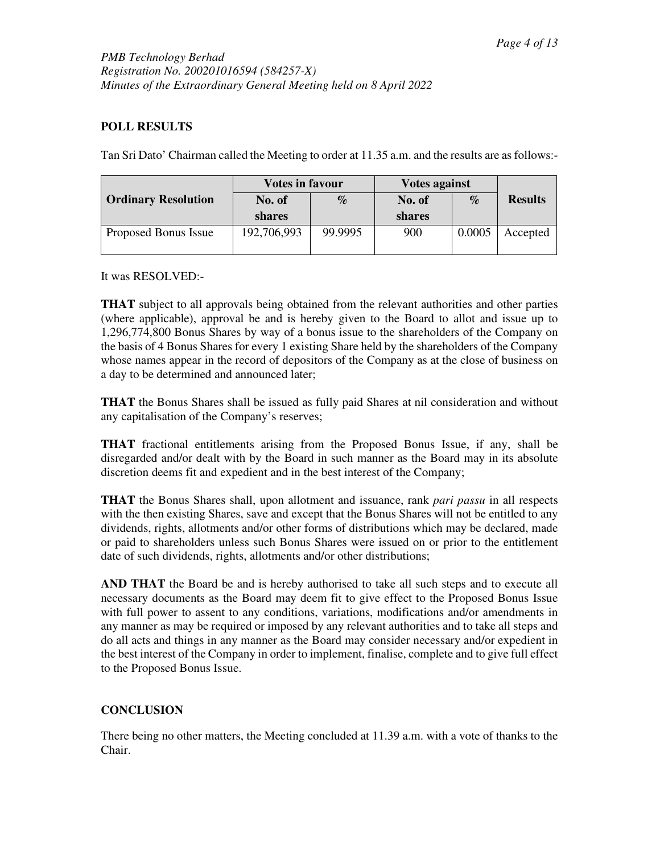# **POLL RESULTS**

Tan Sri Dato' Chairman called the Meeting to order at 11.35 a.m. and the results are as follows:-

|                            | <b>Votes in favour</b> |         | <b>Votes against</b> |        |                |
|----------------------------|------------------------|---------|----------------------|--------|----------------|
| <b>Ordinary Resolution</b> | No. of                 | $\%$    | No. of               | $\%$   | <b>Results</b> |
|                            | shares                 |         | shares               |        |                |
| Proposed Bonus Issue       | 192,706,993            | 99.9995 | 900                  | 0.0005 | Accepted       |

It was RESOLVED:-

**THAT** subject to all approvals being obtained from the relevant authorities and other parties (where applicable), approval be and is hereby given to the Board to allot and issue up to 1,296,774,800 Bonus Shares by way of a bonus issue to the shareholders of the Company on the basis of 4 Bonus Shares for every 1 existing Share held by the shareholders of the Company whose names appear in the record of depositors of the Company as at the close of business on a day to be determined and announced later;

**THAT** the Bonus Shares shall be issued as fully paid Shares at nil consideration and without any capitalisation of the Company's reserves;

**THAT** fractional entitlements arising from the Proposed Bonus Issue, if any, shall be disregarded and/or dealt with by the Board in such manner as the Board may in its absolute discretion deems fit and expedient and in the best interest of the Company;

**THAT** the Bonus Shares shall, upon allotment and issuance, rank *pari passu* in all respects with the then existing Shares, save and except that the Bonus Shares will not be entitled to any dividends, rights, allotments and/or other forms of distributions which may be declared, made or paid to shareholders unless such Bonus Shares were issued on or prior to the entitlement date of such dividends, rights, allotments and/or other distributions;

**AND THAT** the Board be and is hereby authorised to take all such steps and to execute all necessary documents as the Board may deem fit to give effect to the Proposed Bonus Issue with full power to assent to any conditions, variations, modifications and/or amendments in any manner as may be required or imposed by any relevant authorities and to take all steps and do all acts and things in any manner as the Board may consider necessary and/or expedient in the best interest of the Company in order to implement, finalise, complete and to give full effect to the Proposed Bonus Issue.

# **CONCLUSION**

There being no other matters, the Meeting concluded at 11.39 a.m. with a vote of thanks to the Chair.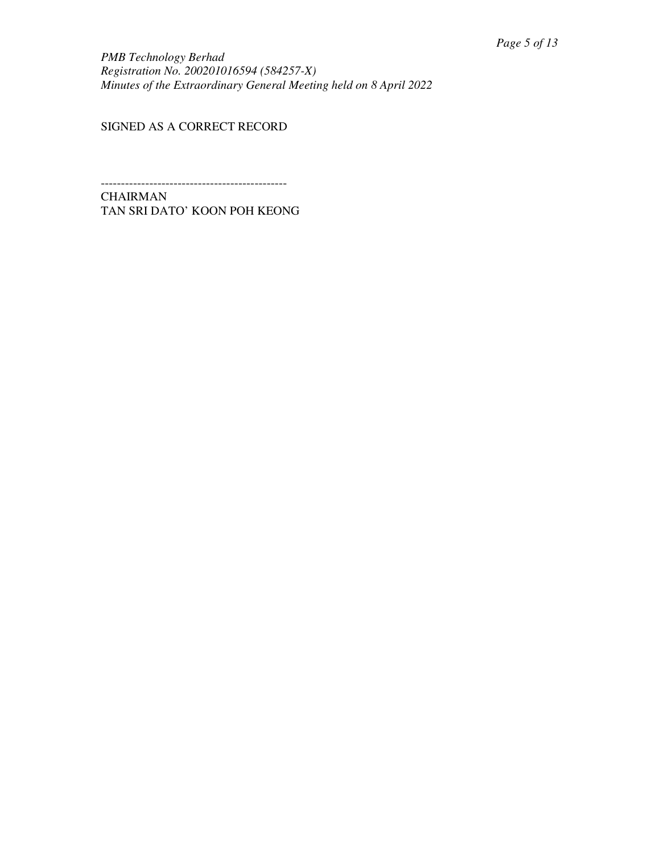*PMB Technology Berhad Registration No. 200201016594 (584257-X) Minutes of the Extraordinary General Meeting held on 8 April 2022* 

SIGNED AS A CORRECT RECORD

---------------------------------------------- CHAIRMAN TAN SRI DATO' KOON POH KEONG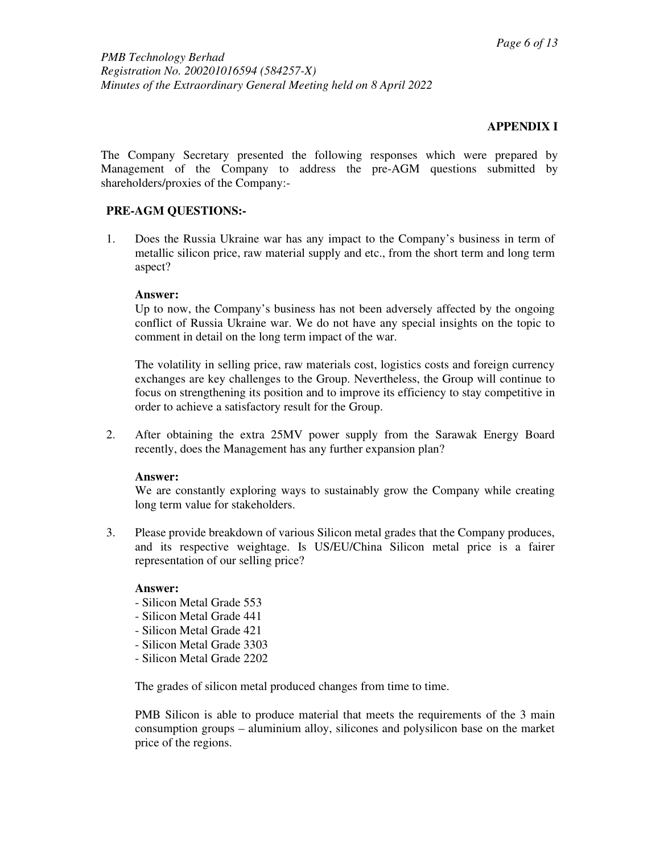# **APPENDIX I**

The Company Secretary presented the following responses which were prepared by Management of the Company to address the pre-AGM questions submitted by shareholders/proxies of the Company:-

# **PRE-AGM QUESTIONS:-**

1. Does the Russia Ukraine war has any impact to the Company's business in term of metallic silicon price, raw material supply and etc., from the short term and long term aspect?

### **Answer:**

Up to now, the Company's business has not been adversely affected by the ongoing conflict of Russia Ukraine war. We do not have any special insights on the topic to comment in detail on the long term impact of the war.

The volatility in selling price, raw materials cost, logistics costs and foreign currency exchanges are key challenges to the Group. Nevertheless, the Group will continue to focus on strengthening its position and to improve its efficiency to stay competitive in order to achieve a satisfactory result for the Group.

2. After obtaining the extra 25MV power supply from the Sarawak Energy Board recently, does the Management has any further expansion plan?

# **Answer:**

We are constantly exploring ways to sustainably grow the Company while creating long term value for stakeholders.

3. Please provide breakdown of various Silicon metal grades that the Company produces, and its respective weightage. Is US/EU/China Silicon metal price is a fairer representation of our selling price?

#### **Answer:**

- Silicon Metal Grade 553
- Silicon Metal Grade 441
- Silicon Metal Grade 421
- Silicon Metal Grade 3303
- Silicon Metal Grade 2202

The grades of silicon metal produced changes from time to time.

PMB Silicon is able to produce material that meets the requirements of the 3 main consumption groups – aluminium alloy, silicones and polysilicon base on the market price of the regions.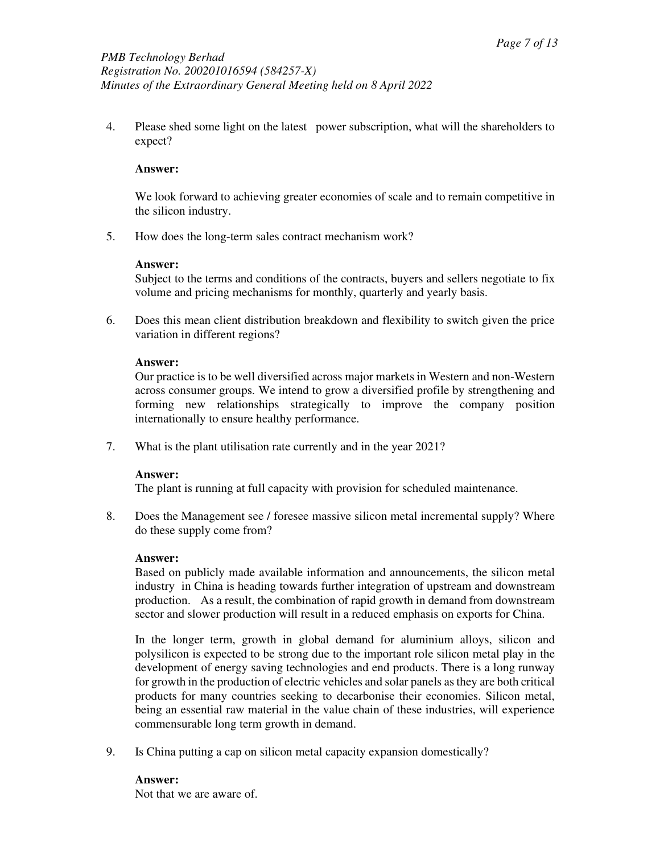4. Please shed some light on the latest power subscription, what will the shareholders to expect?

### **Answer:**

We look forward to achieving greater economies of scale and to remain competitive in the silicon industry.

5. How does the long-term sales contract mechanism work?

### **Answer:**

Subject to the terms and conditions of the contracts, buyers and sellers negotiate to fix volume and pricing mechanisms for monthly, quarterly and yearly basis.

6. Does this mean client distribution breakdown and flexibility to switch given the price variation in different regions?

### **Answer:**

Our practice is to be well diversified across major markets in Western and non-Western across consumer groups. We intend to grow a diversified profile by strengthening and forming new relationships strategically to improve the company position internationally to ensure healthy performance.

7. What is the plant utilisation rate currently and in the year 2021?

#### **Answer:**

The plant is running at full capacity with provision for scheduled maintenance.

8. Does the Management see / foresee massive silicon metal incremental supply? Where do these supply come from?

#### **Answer:**

Based on publicly made available information and announcements, the silicon metal industry in China is heading towards further integration of upstream and downstream production. As a result, the combination of rapid growth in demand from downstream sector and slower production will result in a reduced emphasis on exports for China.

In the longer term, growth in global demand for aluminium alloys, silicon and polysilicon is expected to be strong due to the important role silicon metal play in the development of energy saving technologies and end products. There is a long runway for growth in the production of electric vehicles and solar panels as they are both critical products for many countries seeking to decarbonise their economies. Silicon metal, being an essential raw material in the value chain of these industries, will experience commensurable long term growth in demand.

9. Is China putting a cap on silicon metal capacity expansion domestically?

**Answer:**  Not that we are aware of.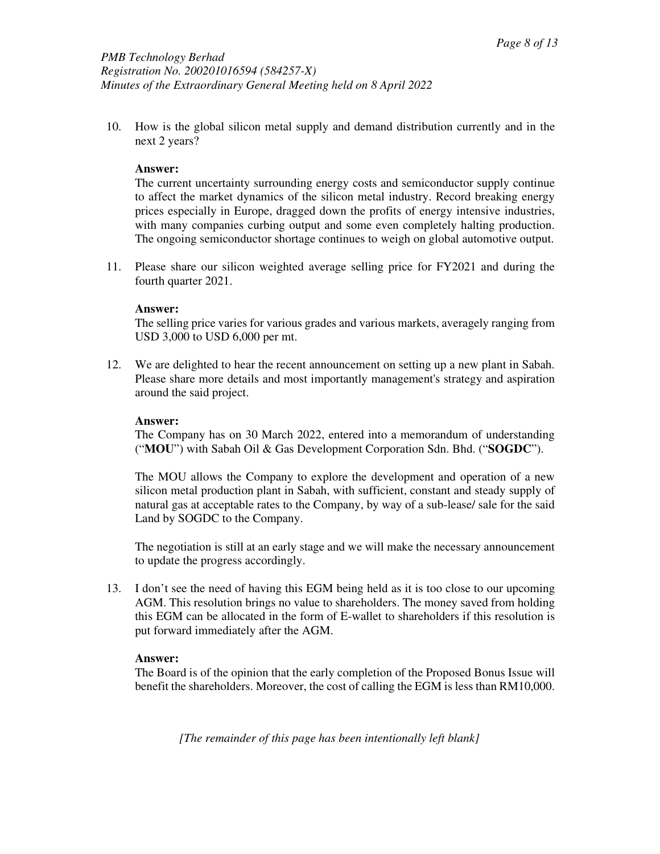10. How is the global silicon metal supply and demand distribution currently and in the next 2 years?

### **Answer:**

The current uncertainty surrounding energy costs and semiconductor supply continue to affect the market dynamics of the silicon metal industry. Record breaking energy prices especially in Europe, dragged down the profits of energy intensive industries, with many companies curbing output and some even completely halting production. The ongoing semiconductor shortage continues to weigh on global automotive output.

11. Please share our silicon weighted average selling price for FY2021 and during the fourth quarter 2021.

#### **Answer:**

The selling price varies for various grades and various markets, averagely ranging from USD 3,000 to USD 6,000 per mt.

12. We are delighted to hear the recent announcement on setting up a new plant in Sabah. Please share more details and most importantly management's strategy and aspiration around the said project.

### **Answer:**

The Company has on 30 March 2022, entered into a memorandum of understanding ("**MOU**") with Sabah Oil & Gas Development Corporation Sdn. Bhd. ("**SOGDC**").

The MOU allows the Company to explore the development and operation of a new silicon metal production plant in Sabah, with sufficient, constant and steady supply of natural gas at acceptable rates to the Company, by way of a sub-lease/ sale for the said Land by SOGDC to the Company.

The negotiation is still at an early stage and we will make the necessary announcement to update the progress accordingly.

13. I don't see the need of having this EGM being held as it is too close to our upcoming AGM. This resolution brings no value to shareholders. The money saved from holding this EGM can be allocated in the form of E-wallet to shareholders if this resolution is put forward immediately after the AGM.

#### **Answer:**

The Board is of the opinion that the early completion of the Proposed Bonus Issue will benefit the shareholders. Moreover, the cost of calling the EGM is less than RM10,000.

*[The remainder of this page has been intentionally left blank]*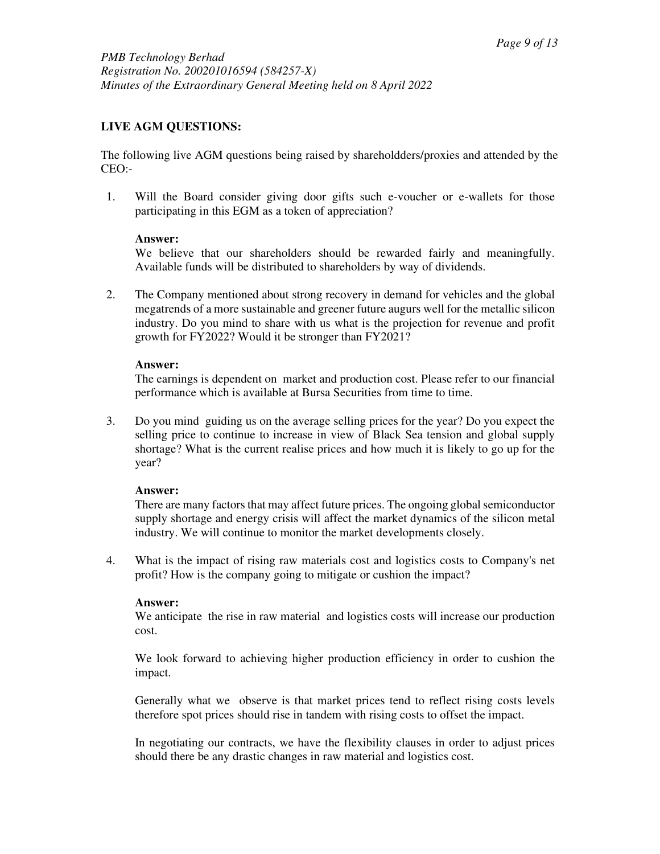# **LIVE AGM QUESTIONS:**

The following live AGM questions being raised by shareholdders/proxies and attended by the CEO:-

1. Will the Board consider giving door gifts such e-voucher or e-wallets for those participating in this EGM as a token of appreciation?

# **Answer:**

We believe that our shareholders should be rewarded fairly and meaningfully. Available funds will be distributed to shareholders by way of dividends.

2. The Company mentioned about strong recovery in demand for vehicles and the global megatrends of a more sustainable and greener future augurs well for the metallic silicon industry. Do you mind to share with us what is the projection for revenue and profit growth for FY2022? Would it be stronger than FY2021?

# **Answer:**

The earnings is dependent on market and production cost. Please refer to our financial performance which is available at Bursa Securities from time to time.

3. Do you mind guiding us on the average selling prices for the year? Do you expect the selling price to continue to increase in view of Black Sea tension and global supply shortage? What is the current realise prices and how much it is likely to go up for the year?

# **Answer:**

There are many factors that may affect future prices. The ongoing global semiconductor supply shortage and energy crisis will affect the market dynamics of the silicon metal industry. We will continue to monitor the market developments closely.

4. What is the impact of rising raw materials cost and logistics costs to Company's net profit? How is the company going to mitigate or cushion the impact?

# **Answer:**

We anticipate the rise in raw material and logistics costs will increase our production cost.

We look forward to achieving higher production efficiency in order to cushion the impact.

Generally what we observe is that market prices tend to reflect rising costs levels therefore spot prices should rise in tandem with rising costs to offset the impact.

In negotiating our contracts, we have the flexibility clauses in order to adjust prices should there be any drastic changes in raw material and logistics cost.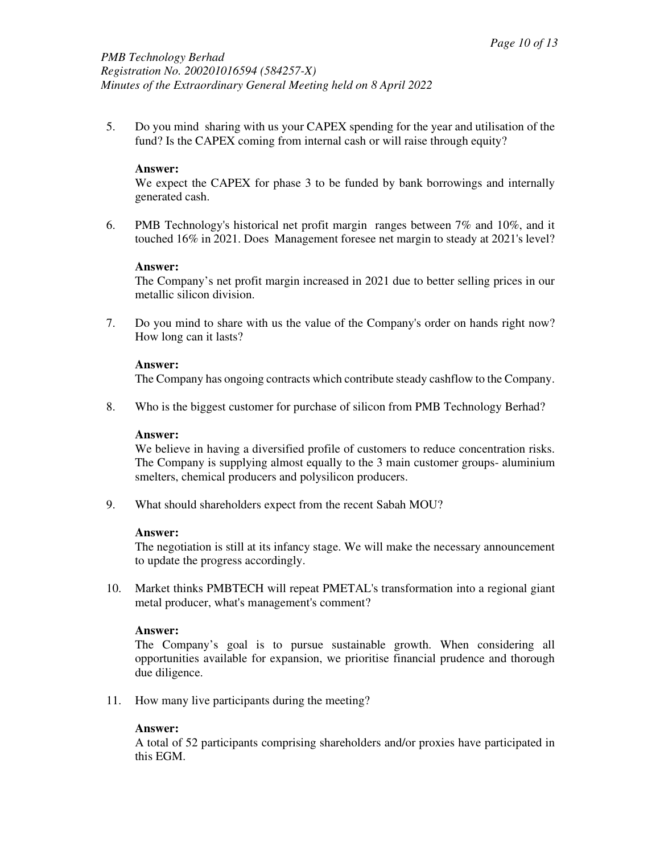5. Do you mind sharing with us your CAPEX spending for the year and utilisation of the fund? Is the CAPEX coming from internal cash or will raise through equity?

### **Answer:**

We expect the CAPEX for phase 3 to be funded by bank borrowings and internally generated cash.

6. PMB Technology's historical net profit margin ranges between 7% and 10%, and it touched 16% in 2021. Does Management foresee net margin to steady at 2021's level?

#### **Answer:**

The Company's net profit margin increased in 2021 due to better selling prices in our metallic silicon division.

7. Do you mind to share with us the value of the Company's order on hands right now? How long can it lasts?

### **Answer:**

The Company has ongoing contracts which contribute steady cashflow to the Company.

8. Who is the biggest customer for purchase of silicon from PMB Technology Berhad?

### **Answer:**

We believe in having a diversified profile of customers to reduce concentration risks. The Company is supplying almost equally to the 3 main customer groups- aluminium smelters, chemical producers and polysilicon producers.

9. What should shareholders expect from the recent Sabah MOU?

#### **Answer:**

The negotiation is still at its infancy stage. We will make the necessary announcement to update the progress accordingly.

10. Market thinks PMBTECH will repeat PMETAL's transformation into a regional giant metal producer, what's management's comment?

#### **Answer:**

The Company's goal is to pursue sustainable growth. When considering all opportunities available for expansion, we prioritise financial prudence and thorough due diligence.

11. How many live participants during the meeting?

# **Answer:**

A total of 52 participants comprising shareholders and/or proxies have participated in this EGM.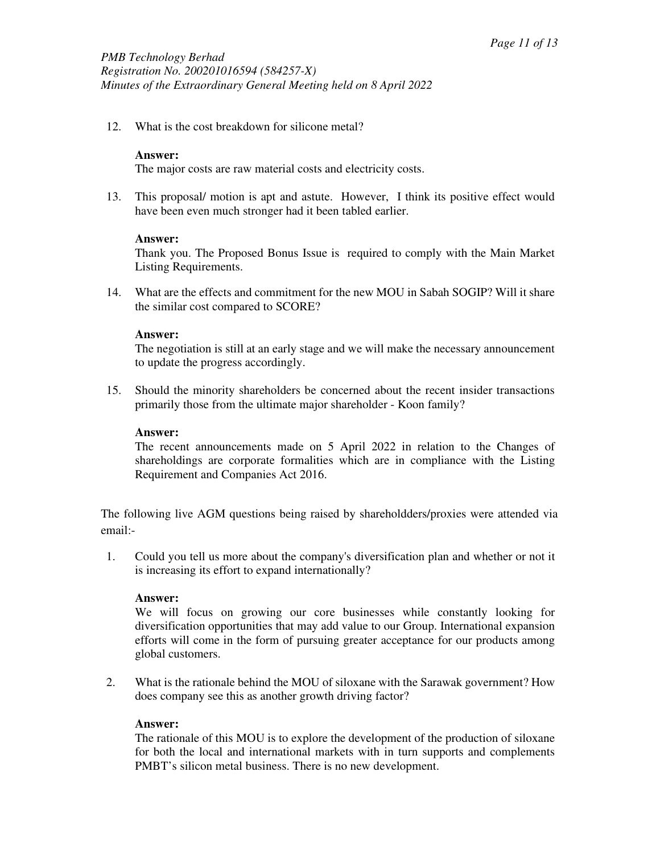12. What is the cost breakdown for silicone metal?

# **Answer:**

The major costs are raw material costs and electricity costs.

13. This proposal/ motion is apt and astute. However, I think its positive effect would have been even much stronger had it been tabled earlier.

### **Answer:**

Thank you. The Proposed Bonus Issue is required to comply with the Main Market Listing Requirements.

14. What are the effects and commitment for the new MOU in Sabah SOGIP? Will it share the similar cost compared to SCORE?

### **Answer:**

The negotiation is still at an early stage and we will make the necessary announcement to update the progress accordingly.

15. Should the minority shareholders be concerned about the recent insider transactions primarily those from the ultimate major shareholder - Koon family?

#### **Answer:**

The recent announcements made on 5 April 2022 in relation to the Changes of shareholdings are corporate formalities which are in compliance with the Listing Requirement and Companies Act 2016.

The following live AGM questions being raised by shareholdders/proxies were attended via email:-

1. Could you tell us more about the company's diversification plan and whether or not it is increasing its effort to expand internationally?

#### **Answer:**

We will focus on growing our core businesses while constantly looking for diversification opportunities that may add value to our Group. International expansion efforts will come in the form of pursuing greater acceptance for our products among global customers.

2. What is the rationale behind the MOU of siloxane with the Sarawak government? How does company see this as another growth driving factor?

#### **Answer:**

The rationale of this MOU is to explore the development of the production of siloxane for both the local and international markets with in turn supports and complements PMBT's silicon metal business. There is no new development.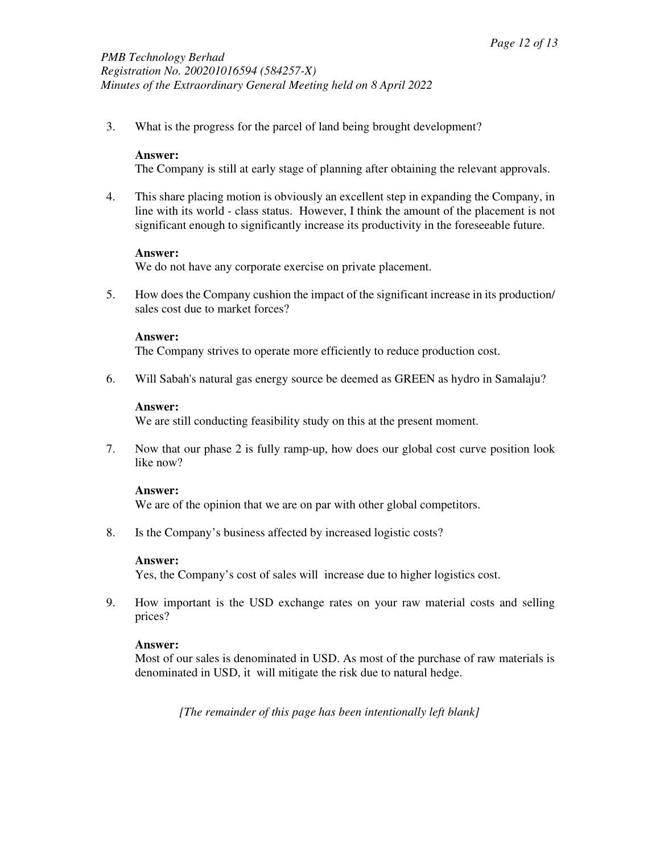3. What is the progress for the parcel of land being brought development?

# **Answer:**

The Company is still at early stage of planning after obtaining the relevant approvals.

4. This share placing motion is obviously an excellent step in expanding the Company, in line with its world - class status. However, I think the amount of the placement is not significant enough to significantly increase its productivity in the foreseeable future.

### **Answer:**

We do not have any corporate exercise on private placement.

5. How does the Company cushion the impact of the significant increase in its production/ sales cost due to market forces?

### **Answer:**

The Company strives to operate more efficiently to reduce production cost.

6. Will Sabah's natural gas energy source be deemed as GREEN as hydro in Samalaju?

#### **Answer:**

We are still conducting feasibility study on this at the present moment.

7. Now that our phase 2 is fully ramp-up, how does our global cost curve position look like now?

#### **Answer:**

We are of the opinion that we are on par with other global competitors.

8. Is the Company's business affected by increased logistic costs?

#### **Answer:**

Yes, the Company's cost of sales will increase due to higher logistics cost.

9. How important is the USD exchange rates on your raw material costs and selling prices?

# **Answer:**

Most of our sales is denominated in USD. As most of the purchase of raw materials is denominated in USD, it will mitigate the risk due to natural hedge.

*[The remainder of this page has been intentionally left blank]*